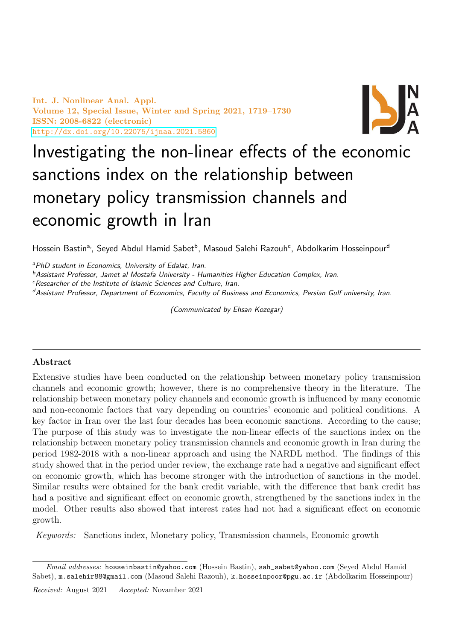Int. J. Nonlinear Anal. Appl. Volume 12, Special Issue, Winter and Spring 2021, 1719–1730 ISSN: 2008-6822 (electronic) <http://dx.doi.org/10.22075/ijnaa.2021.5860>



# Investigating the non-linear effects of the economic sanctions index on the relationship between monetary policy transmission channels and economic growth in Iran

Hossein Bastin<sup>a,</sup>, Seyed Abdul Hamid Sabet<sup>b</sup>, Masoud Salehi Razouh<sup>c</sup>, Abdolkarim Hosseinpour<sup>d</sup>

<sup>a</sup>PhD student in Economics, University of Edalat, Iran.

 $<sup>b</sup>$ Assistant Professor, Jamet al Mostafa University - Humanities Higher Education Complex, Iran.</sup>

<sup>c</sup>Researcher of the Institute of Islamic Sciences and Culture, Iran.

<sup>d</sup>Assistant Professor, Department of Economics, Faculty of Business and Economics, Persian Gulf university, Iran.

(Communicated by Ehsan Kozegar)

# Abstract

Extensive studies have been conducted on the relationship between monetary policy transmission channels and economic growth; however, there is no comprehensive theory in the literature. The relationship between monetary policy channels and economic growth is influenced by many economic and non-economic factors that vary depending on countries' economic and political conditions. A key factor in Iran over the last four decades has been economic sanctions. According to the cause; The purpose of this study was to investigate the non-linear effects of the sanctions index on the relationship between monetary policy transmission channels and economic growth in Iran during the period 1982-2018 with a non-linear approach and using the NARDL method. The findings of this study showed that in the period under review, the exchange rate had a negative and significant effect on economic growth, which has become stronger with the introduction of sanctions in the model. Similar results were obtained for the bank credit variable, with the difference that bank credit has had a positive and significant effect on economic growth, strengthened by the sanctions index in the model. Other results also showed that interest rates had not had a significant effect on economic growth.

Keywords: Sanctions index, Monetary policy, Transmission channels, Economic growth

Email addresses: hosseinbastin@yahoo.com (Hossein Bastin), sah\_sabet@yahoo.com (Seyed Abdul Hamid Sabet), m.salehir88@gmail.com (Masoud Salehi Razouh), k.hosseinpoor@pgu.ac.ir (Abdolkarim Hosseinpour)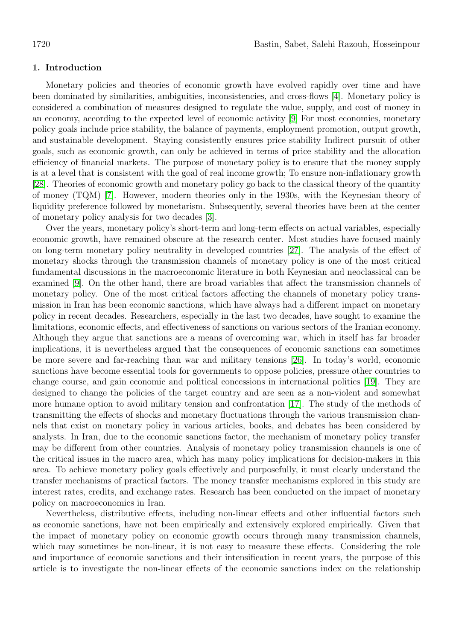# 1. Introduction

Monetary policies and theories of economic growth have evolved rapidly over time and have been dominated by similarities, ambiguities, inconsistencies, and cross-flows [\[4\]](#page-10-0). Monetary policy is considered a combination of measures designed to regulate the value, supply, and cost of money in an economy, according to the expected level of economic activity [\[9\]](#page-10-1) For most economies, monetary policy goals include price stability, the balance of payments, employment promotion, output growth, and sustainable development. Staying consistently ensures price stability Indirect pursuit of other goals, such as economic growth, can only be achieved in terms of price stability and the allocation efficiency of financial markets. The purpose of monetary policy is to ensure that the money supply is at a level that is consistent with the goal of real income growth; To ensure non-inflationary growth [\[28\]](#page-11-0). Theories of economic growth and monetary policy go back to the classical theory of the quantity of money (TQM) [\[7\]](#page-10-2). However, modern theories only in the 1930s, with the Keynesian theory of liquidity preference followed by monetarism. Subsequently, several theories have been at the center of monetary policy analysis for two decades [\[3\]](#page-10-3).

Over the years, monetary policy's short-term and long-term effects on actual variables, especially economic growth, have remained obscure at the research center. Most studies have focused mainly on long-term monetary policy neutrality in developed countries [\[27\]](#page-11-1). The analysis of the effect of monetary shocks through the transmission channels of monetary policy is one of the most critical fundamental discussions in the macroeconomic literature in both Keynesian and neoclassical can be examined [\[9\]](#page-10-1). On the other hand, there are broad variables that affect the transmission channels of monetary policy. One of the most critical factors affecting the channels of monetary policy transmission in Iran has been economic sanctions, which have always had a different impact on monetary policy in recent decades. Researchers, especially in the last two decades, have sought to examine the limitations, economic effects, and effectiveness of sanctions on various sectors of the Iranian economy. Although they argue that sanctions are a means of overcoming war, which in itself has far broader implications, it is nevertheless argued that the consequences of economic sanctions can sometimes be more severe and far-reaching than war and military tensions [\[26\]](#page-11-2). In today's world, economic sanctions have become essential tools for governments to oppose policies, pressure other countries to change course, and gain economic and political concessions in international politics [\[19\]](#page-11-3). They are designed to change the policies of the target country and are seen as a non-violent and somewhat more humane option to avoid military tension and confrontation [\[17\]](#page-11-4). The study of the methods of transmitting the effects of shocks and monetary fluctuations through the various transmission channels that exist on monetary policy in various articles, books, and debates has been considered by analysts. In Iran, due to the economic sanctions factor, the mechanism of monetary policy transfer may be different from other countries. Analysis of monetary policy transmission channels is one of the critical issues in the macro area, which has many policy implications for decision-makers in this area. To achieve monetary policy goals effectively and purposefully, it must clearly understand the transfer mechanisms of practical factors. The money transfer mechanisms explored in this study are interest rates, credits, and exchange rates. Research has been conducted on the impact of monetary policy on macroeconomics in Iran.

Nevertheless, distributive effects, including non-linear effects and other influential factors such as economic sanctions, have not been empirically and extensively explored empirically. Given that the impact of monetary policy on economic growth occurs through many transmission channels, which may sometimes be non-linear, it is not easy to measure these effects. Considering the role and importance of economic sanctions and their intensification in recent years, the purpose of this article is to investigate the non-linear effects of the economic sanctions index on the relationship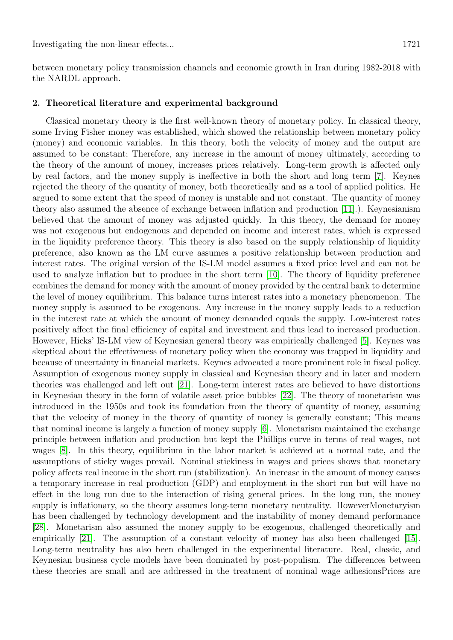between monetary policy transmission channels and economic growth in Iran during 1982-2018 with the NARDL approach.

### 2. Theoretical literature and experimental background

Classical monetary theory is the first well-known theory of monetary policy. In classical theory, some Irving Fisher money was established, which showed the relationship between monetary policy (money) and economic variables. In this theory, both the velocity of money and the output are assumed to be constant; Therefore, any increase in the amount of money ultimately, according to the theory of the amount of money, increases prices relatively. Long-term growth is affected only by real factors, and the money supply is ineffective in both the short and long term [\[7\]](#page-10-2). Keynes rejected the theory of the quantity of money, both theoretically and as a tool of applied politics. He argued to some extent that the speed of money is unstable and not constant. The quantity of money theory also assumed the absence of exchange between inflation and production [\[11\]](#page-10-4).). Keynesianism believed that the amount of money was adjusted quickly. In this theory, the demand for money was not exogenous but endogenous and depended on income and interest rates, which is expressed in the liquidity preference theory. This theory is also based on the supply relationship of liquidity preference, also known as the LM curve assumes a positive relationship between production and interest rates. The original version of the IS-LM model assumes a fixed price level and can not be used to analyze inflation but to produce in the short term [\[10\]](#page-10-5). The theory of liquidity preference combines the demand for money with the amount of money provided by the central bank to determine the level of money equilibrium. This balance turns interest rates into a monetary phenomenon. The money supply is assumed to be exogenous. Any increase in the money supply leads to a reduction in the interest rate at which the amount of money demanded equals the supply. Low-interest rates positively affect the final efficiency of capital and investment and thus lead to increased production. However, Hicks' IS-LM view of Keynesian general theory was empirically challenged [\[5\]](#page-10-6). Keynes was skeptical about the effectiveness of monetary policy when the economy was trapped in liquidity and because of uncertainty in financial markets. Keynes advocated a more prominent role in fiscal policy. Assumption of exogenous money supply in classical and Keynesian theory and in later and modern theories was challenged and left out [\[21\]](#page-11-5). Long-term interest rates are believed to have distortions in Keynesian theory in the form of volatile asset price bubbles [\[22\]](#page-11-6). The theory of monetarism was introduced in the 1950s and took its foundation from the theory of quantity of money, assuming that the velocity of money in the theory of quantity of money is generally constant; This means that nominal income is largely a function of money supply [\[6\]](#page-10-7). Monetarism maintained the exchange principle between inflation and production but kept the Phillips curve in terms of real wages, not wages [\[8\]](#page-10-8). In this theory, equilibrium in the labor market is achieved at a normal rate, and the assumptions of sticky wages prevail. Nominal stickiness in wages and prices shows that monetary policy affects real income in the short run (stabilization). An increase in the amount of money causes a temporary increase in real production (GDP) and employment in the short run but will have no effect in the long run due to the interaction of rising general prices. In the long run, the money supply is inflationary, so the theory assumes long-term monetary neutrality. HoweverMonetaryism has been challenged by technology development and the instability of money demand performance [\[28\]](#page-11-0). Monetarism also assumed the money supply to be exogenous, challenged theoretically and empirically [\[21\]](#page-11-5). The assumption of a constant velocity of money has also been challenged [\[15\]](#page-11-7). Long-term neutrality has also been challenged in the experimental literature. Real, classic, and Keynesian business cycle models have been dominated by post-populism. The differences between these theories are small and are addressed in the treatment of nominal wage adhesionsPrices are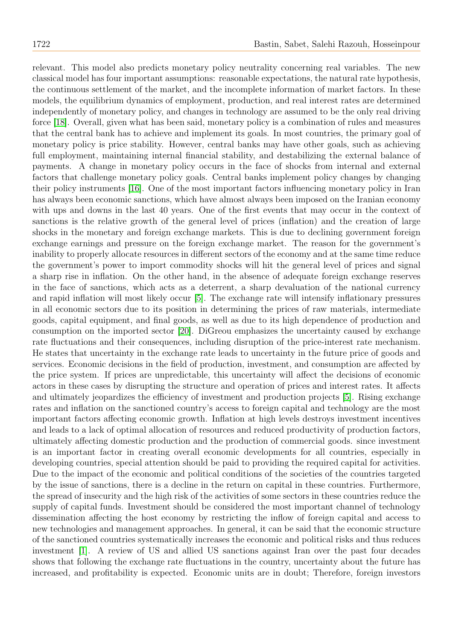relevant. This model also predicts monetary policy neutrality concerning real variables. The new classical model has four important assumptions: reasonable expectations, the natural rate hypothesis, the continuous settlement of the market, and the incomplete information of market factors. In these models, the equilibrium dynamics of employment, production, and real interest rates are determined independently of monetary policy, and changes in technology are assumed to be the only real driving force [\[18\]](#page-11-8). Overall, given what has been said, monetary policy is a combination of rules and measures that the central bank has to achieve and implement its goals. In most countries, the primary goal of monetary policy is price stability. However, central banks may have other goals, such as achieving full employment, maintaining internal financial stability, and destabilizing the external balance of payments. A change in monetary policy occurs in the face of shocks from internal and external factors that challenge monetary policy goals. Central banks implement policy changes by changing their policy instruments [\[16\]](#page-11-9). One of the most important factors influencing monetary policy in Iran has always been economic sanctions, which have almost always been imposed on the Iranian economy with ups and downs in the last 40 years. One of the first events that may occur in the context of sanctions is the relative growth of the general level of prices (inflation) and the creation of large shocks in the monetary and foreign exchange markets. This is due to declining government foreign exchange earnings and pressure on the foreign exchange market. The reason for the government's inability to properly allocate resources in different sectors of the economy and at the same time reduce the government's power to import commodity shocks will hit the general level of prices and signal a sharp rise in inflation. On the other hand, in the absence of adequate foreign exchange reserves in the face of sanctions, which acts as a deterrent, a sharp devaluation of the national currency and rapid inflation will most likely occur [\[5\]](#page-10-6). The exchange rate will intensify inflationary pressures in all economic sectors due to its position in determining the prices of raw materials, intermediate goods, capital equipment, and final goods, as well as due to its high dependence of production and consumption on the imported sector [\[20\]](#page-11-10). DiGreou emphasizes the uncertainty caused by exchange rate fluctuations and their consequences, including disruption of the price-interest rate mechanism. He states that uncertainty in the exchange rate leads to uncertainty in the future price of goods and services. Economic decisions in the field of production, investment, and consumption are affected by the price system. If prices are unpredictable, this uncertainty will affect the decisions of economic actors in these cases by disrupting the structure and operation of prices and interest rates. It affects and ultimately jeopardizes the efficiency of investment and production projects [\[5\]](#page-10-6). Rising exchange rates and inflation on the sanctioned country's access to foreign capital and technology are the most important factors affecting economic growth. Inflation at high levels destroys investment incentives and leads to a lack of optimal allocation of resources and reduced productivity of production factors, ultimately affecting domestic production and the production of commercial goods. since investment is an important factor in creating overall economic developments for all countries, especially in developing countries, special attention should be paid to providing the required capital for activities. Due to the impact of the economic and political conditions of the societies of the countries targeted by the issue of sanctions, there is a decline in the return on capital in these countries. Furthermore, the spread of insecurity and the high risk of the activities of some sectors in these countries reduce the supply of capital funds. Investment should be considered the most important channel of technology dissemination affecting the host economy by restricting the inflow of foreign capital and access to new technologies and management approaches. In general, it can be said that the economic structure of the sanctioned countries systematically increases the economic and political risks and thus reduces investment [\[1\]](#page-10-9). A review of US and allied US sanctions against Iran over the past four decades shows that following the exchange rate fluctuations in the country, uncertainty about the future has increased, and profitability is expected. Economic units are in doubt; Therefore, foreign investors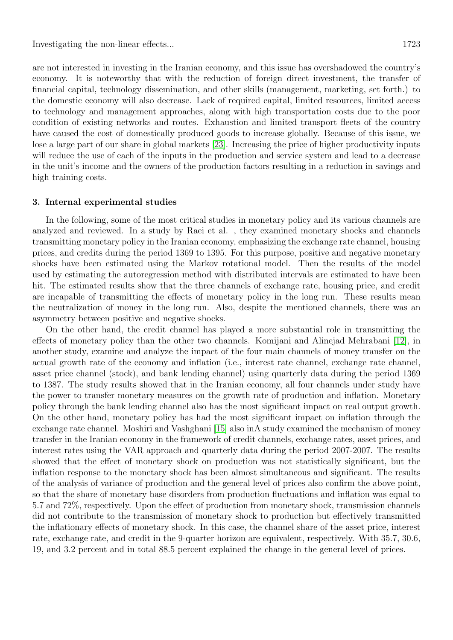are not interested in investing in the Iranian economy, and this issue has overshadowed the country's economy. It is noteworthy that with the reduction of foreign direct investment, the transfer of financial capital, technology dissemination, and other skills (management, marketing, set forth.) to the domestic economy will also decrease. Lack of required capital, limited resources, limited access to technology and management approaches, along with high transportation costs due to the poor condition of existing networks and routes. Exhaustion and limited transport fleets of the country have caused the cost of domestically produced goods to increase globally. Because of this issue, we lose a large part of our share in global markets [\[23\]](#page-11-11). Increasing the price of higher productivity inputs will reduce the use of each of the inputs in the production and service system and lead to a decrease in the unit's income and the owners of the production factors resulting in a reduction in savings and high training costs.

#### 3. Internal experimental studies

In the following, some of the most critical studies in monetary policy and its various channels are analyzed and reviewed. In a study by Raei et al. , they examined monetary shocks and channels transmitting monetary policy in the Iranian economy, emphasizing the exchange rate channel, housing prices, and credits during the period 1369 to 1395. For this purpose, positive and negative monetary shocks have been estimated using the Markov rotational model. Then the results of the model used by estimating the autoregression method with distributed intervals are estimated to have been hit. The estimated results show that the three channels of exchange rate, housing price, and credit are incapable of transmitting the effects of monetary policy in the long run. These results mean the neutralization of money in the long run. Also, despite the mentioned channels, there was an asymmetry between positive and negative shocks.

On the other hand, the credit channel has played a more substantial role in transmitting the effects of monetary policy than the other two channels. Komijani and Alinejad Mehrabani [\[12\]](#page-11-12), in another study, examine and analyze the impact of the four main channels of money transfer on the actual growth rate of the economy and inflation (i.e., interest rate channel, exchange rate channel, asset price channel (stock), and bank lending channel) using quarterly data during the period 1369 to 1387. The study results showed that in the Iranian economy, all four channels under study have the power to transfer monetary measures on the growth rate of production and inflation. Monetary policy through the bank lending channel also has the most significant impact on real output growth. On the other hand, monetary policy has had the most significant impact on inflation through the exchange rate channel. Moshiri and Vashghani [\[15\]](#page-11-7) also inA study examined the mechanism of money transfer in the Iranian economy in the framework of credit channels, exchange rates, asset prices, and interest rates using the VAR approach and quarterly data during the period 2007-2007. The results showed that the effect of monetary shock on production was not statistically significant, but the inflation response to the monetary shock has been almost simultaneous and significant. The results of the analysis of variance of production and the general level of prices also confirm the above point, so that the share of monetary base disorders from production fluctuations and inflation was equal to 5.7 and 72%, respectively. Upon the effect of production from monetary shock, transmission channels did not contribute to the transmission of monetary shock to production but effectively transmitted the inflationary effects of monetary shock. In this case, the channel share of the asset price, interest rate, exchange rate, and credit in the 9-quarter horizon are equivalent, respectively. With 35.7, 30.6, 19, and 3.2 percent and in total 88.5 percent explained the change in the general level of prices.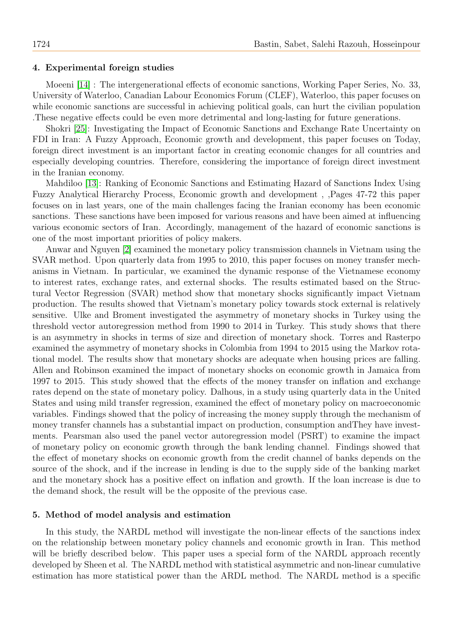### 4. Experimental foreign studies

Moeeni [\[14\]](#page-11-13) : The intergenerational effects of economic sanctions, Working Paper Series, No. 33, University of Waterloo, Canadian Labour Economics Forum (CLEF), Waterloo, this paper focuses on while economic sanctions are successful in achieving political goals, can hurt the civilian population .These negative effects could be even more detrimental and long-lasting for future generations.

Shokri [\[25\]](#page-11-14): Investigating the Impact of Economic Sanctions and Exchange Rate Uncertainty on FDI in Iran: A Fuzzy Approach, Economic growth and development, this paper focuses on Today, foreign direct investment is an important factor in creating economic changes for all countries and especially developing countries. Therefore, considering the importance of foreign direct investment in the Iranian economy.

Mahdiloo [\[13\]](#page-11-15): Ranking of Economic Sanctions and Estimating Hazard of Sanctions Index Using Fuzzy Analytical Hierarchy Process, Economic growth and development , ,Pages 47-72 this paper focuses on in last years, one of the main challenges facing the Iranian economy has been economic sanctions. These sanctions have been imposed for various reasons and have been aimed at influencing various economic sectors of Iran. Accordingly, management of the hazard of economic sanctions is one of the most important priorities of policy makers.

Anwar and Nguyen [\[2\]](#page-10-10) examined the monetary policy transmission channels in Vietnam using the SVAR method. Upon quarterly data from 1995 to 2010, this paper focuses on money transfer mechanisms in Vietnam. In particular, we examined the dynamic response of the Vietnamese economy to interest rates, exchange rates, and external shocks. The results estimated based on the Structural Vector Regression (SVAR) method show that monetary shocks significantly impact Vietnam production. The results showed that Vietnam's monetary policy towards stock external is relatively sensitive. Ulke and Broment investigated the asymmetry of monetary shocks in Turkey using the threshold vector autoregression method from 1990 to 2014 in Turkey. This study shows that there is an asymmetry in shocks in terms of size and direction of monetary shock. Torres and Rasterpo examined the asymmetry of monetary shocks in Colombia from 1994 to 2015 using the Markov rotational model. The results show that monetary shocks are adequate when housing prices are falling. Allen and Robinson examined the impact of monetary shocks on economic growth in Jamaica from 1997 to 2015. This study showed that the effects of the money transfer on inflation and exchange rates depend on the state of monetary policy. Dalhous, in a study using quarterly data in the United States and using mild transfer regression, examined the effect of monetary policy on macroeconomic variables. Findings showed that the policy of increasing the money supply through the mechanism of money transfer channels has a substantial impact on production, consumption andThey have investments. Pearsman also used the panel vector autoregression model (PSRT) to examine the impact of monetary policy on economic growth through the bank lending channel. Findings showed that the effect of monetary shocks on economic growth from the credit channel of banks depends on the source of the shock, and if the increase in lending is due to the supply side of the banking market and the monetary shock has a positive effect on inflation and growth. If the loan increase is due to the demand shock, the result will be the opposite of the previous case.

## 5. Method of model analysis and estimation

In this study, the NARDL method will investigate the non-linear effects of the sanctions index on the relationship between monetary policy channels and economic growth in Iran. This method will be briefly described below. This paper uses a special form of the NARDL approach recently developed by Sheen et al. The NARDL method with statistical asymmetric and non-linear cumulative estimation has more statistical power than the ARDL method. The NARDL method is a specific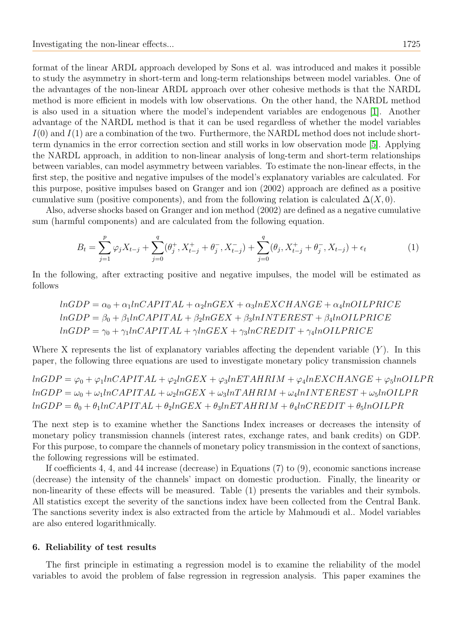format of the linear ARDL approach developed by Sons et al. was introduced and makes it possible to study the asymmetry in short-term and long-term relationships between model variables. One of the advantages of the non-linear ARDL approach over other cohesive methods is that the NARDL method is more efficient in models with low observations. On the other hand, the NARDL method is also used in a situation where the model's independent variables are endogenous [\[1\]](#page-10-9). Another advantage of the NARDL method is that it can be used regardless of whether the model variables  $I(0)$  and  $I(1)$  are a combination of the two. Furthermore, the NARDL method does not include shortterm dynamics in the error correction section and still works in low observation mode [\[5\]](#page-10-6). Applying the NARDL approach, in addition to non-linear analysis of long-term and short-term relationships between variables, can model asymmetry between variables. To estimate the non-linear effects, in the first step, the positive and negative impulses of the model's explanatory variables are calculated. For this purpose, positive impulses based on Granger and ion (2002) approach are defined as a positive cumulative sum (positive components), and from the following relation is calculated  $\Delta(X, 0)$ .

Also, adverse shocks based on Granger and ion method (2002) are defined as a negative cumulative sum (harmful components) and are calculated from the following equation.

$$
B_t = \sum_{j=1}^p \varphi_j X_{t-j} + \sum_{j=0}^q (\theta_j^+, X_{t-j}^+ + \theta_j^-, X_{t-j}^-) + \sum_{j=0}^q (\theta_j, X_{t-j}^+ + \theta_j^-, X_{t-j}) + \epsilon_t
$$
 (1)

In the following, after extracting positive and negative impulses, the model will be estimated as follows

$$
lnGDP = \alpha_0 + \alpha_1 lnCAPITAL + \alpha_2 lnGEX + \alpha_3 lnEXCHANGE + \alpha_4 lnOILPRICE
$$
  

$$
lnGDP = \beta_0 + \beta_1 lnCAPITAL + \beta_2 lnGEX + \beta_3 lnINTEREST + \beta_4 lnOILPRICE
$$
  

$$
lnGDP = \gamma_0 + \gamma_1 lnCAPITAL + \gamma lnGEX + \gamma_3 lnCREDIT + \gamma_4 lnOILPRICE
$$

Where X represents the list of explanatory variables affecting the dependent variable  $(Y)$ . In this paper, the following three equations are used to investigate monetary policy transmission channels

 $lnGDP = \varphi_0 + \varphi_1 lnCAPITAL + \varphi_2 lnGEX + \varphi_3 lnETAHRIM + \varphi_4 lnEXCHANGE + \varphi_5 lnOILPR$  $lnGDP = \omega_0 + \omega_1 lnCAPITAL + \omega_2 lnGEX + \omega_3 lnTAHRIM + \omega_4 lnINTEREST + \omega_5 lnOILPR$  $lnGDP = \theta_0 + \theta_1 lnCAPITAL + \theta_2 lnGEX + \theta_3 lnETAHRIM + \theta_4 lnCREDIT + \theta_5 lnOILPR$ 

The next step is to examine whether the Sanctions Index increases or decreases the intensity of monetary policy transmission channels (interest rates, exchange rates, and bank credits) on GDP. For this purpose, to compare the channels of monetary policy transmission in the context of sanctions, the following regressions will be estimated.

If coefficients 4, 4, and 44 increase (decrease) in Equations (7) to (9), economic sanctions increase (decrease) the intensity of the channels' impact on domestic production. Finally, the linearity or non-linearity of these effects will be measured. Table (1) presents the variables and their symbols. All statistics except the severity of the sanctions index have been collected from the Central Bank. The sanctions severity index is also extracted from the article by Mahmoudi et al.. Model variables are also entered logarithmically.

#### 6. Reliability of test results

The first principle in estimating a regression model is to examine the reliability of the model variables to avoid the problem of false regression in regression analysis. This paper examines the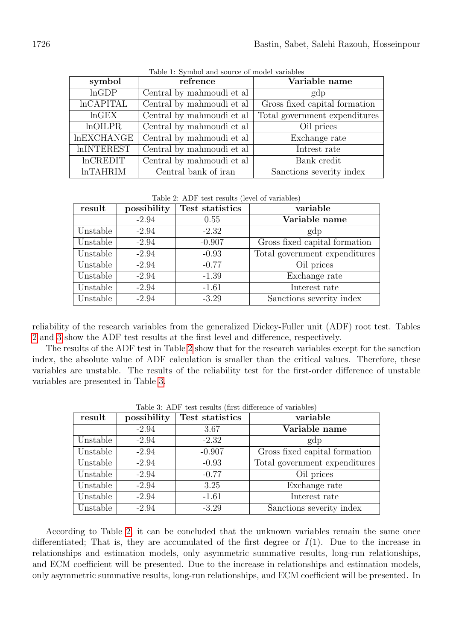| symbol               | refrence                                  | Variable name                 |  |
|----------------------|-------------------------------------------|-------------------------------|--|
| lnGDP                | Central by mahmoudi et al                 | gdp                           |  |
| <b>lnCAPITAL</b>     | Central by mahmoudi et al                 | Gross fixed capital formation |  |
| $ln$ GEX             | Central by mahmoudi et al                 | Total government expenditures |  |
| In OILPR             | Central by mahmoudi et al                 | Oil prices                    |  |
| <b>InEXCHANGE</b>    | Central by mahmoudi et al                 | Exchange rate                 |  |
| <b>InINTEREST</b>    | Central by mahmoudi et al<br>Intrest rate |                               |  |
| $ln$ CREDIT          | Central by mahmoudi et al<br>Bank credit  |                               |  |
| ln <sub>TAHRIM</sub> | Central bank of iran                      | Sanctions severity index      |  |

Table 1: Symbol and source of model variables

Table 2: ADF test results (level of variables)

<span id="page-7-0"></span>

| result   | possibility | Test statistics | variable                      |  |
|----------|-------------|-----------------|-------------------------------|--|
|          | $-2.94$     | 0.55            | Variable name                 |  |
| Unstable | $-2.94$     | $-2.32$         | gdp                           |  |
| Unstable | $-2.94$     | $-0.907$        | Gross fixed capital formation |  |
| Unstable | $-2.94$     | $-0.93$         | Total government expenditures |  |
| Unstable | $-2.94$     | $-0.77$         | Oil prices                    |  |
| Unstable | $-2.94$     | $-1.39$         | Exchange rate                 |  |
| Unstable | $-2.94$     | $-1.61$         | Interest rate                 |  |
| Unstable | $-2.94$     | $-3.29$         | Sanctions severity index      |  |

reliability of the research variables from the generalized Dickey-Fuller unit (ADF) root test. Tables [2](#page-7-0) and [3](#page-7-1) show the ADF test results at the first level and difference, respectively.

The results of the ADF test in Table [2](#page-7-0) show that for the research variables except for the sanction index, the absolute value of ADF calculation is smaller than the critical values. Therefore, these variables are unstable. The results of the reliability test for the first-order difference of unstable variables are presented in Table [3.](#page-7-1)

<span id="page-7-1"></span>

| result   | possibility | Test statistics | variable                      |  |  |
|----------|-------------|-----------------|-------------------------------|--|--|
|          | $-2.94$     | 3.67            | Variable name                 |  |  |
| Unstable | $-2.94$     | $-2.32$         | gdp                           |  |  |
| Unstable | $-2.94$     | $-0.907$        | Gross fixed capital formation |  |  |
| Unstable | $-2.94$     | $-0.93$         | Total government expenditures |  |  |
| Unstable | $-2.94$     | $-0.77$         | Oil prices                    |  |  |
| Unstable | $-2.94$     | 3.25            | Exchange rate                 |  |  |
| Unstable | $-2.94$     | $-1.61$         | Interest rate                 |  |  |
| Unstable | $-2.94$     | $-3.29$         | Sanctions severity index      |  |  |

Table 3: ADF test results (first difference of variables)

According to Table [2,](#page-7-0) it can be concluded that the unknown variables remain the same once differentiated; That is, they are accumulated of the first degree or  $I(1)$ . Due to the increase in relationships and estimation models, only asymmetric summative results, long-run relationships, and ECM coefficient will be presented. Due to the increase in relationships and estimation models, only asymmetric summative results, long-run relationships, and ECM coefficient will be presented. In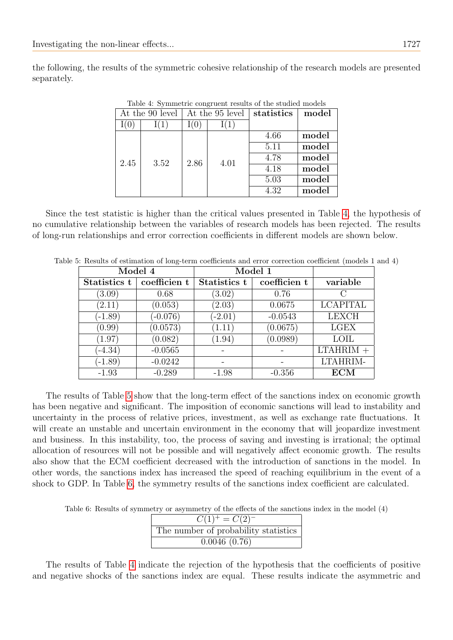<span id="page-8-0"></span>the following, the results of the symmetric cohesive relationship of the research models are presented separately.

| At the 90 level |      | At the 95 level |      | statistics | model |
|-----------------|------|-----------------|------|------------|-------|
|                 |      |                 |      |            |       |
|                 |      |                 |      | 4.66       | model |
|                 |      |                 |      | 5.11       | model |
| 2.45            | 3.52 | 2.86            | 4.01 | 4.78       | model |
|                 |      |                 |      | 4.18       | model |
|                 |      |                 |      | 5.03       | model |
|                 |      |                 |      | 4.32       | model |

Table 4: Symmetric congruent results of the studied models

Since the test statistic is higher than the critical values presented in Table [4,](#page-8-0) the hypothesis of no cumulative relationship between the variables of research models has been rejected. The results of long-run relationships and error correction coefficients in different models are shown below.

| Model 4      |              | , о. тезано от езишалнот от юнg-естни сосписилно ани сттот согтеслия сосписил (пюцею т<br>Model 1 |              |                 |
|--------------|--------------|---------------------------------------------------------------------------------------------------|--------------|-----------------|
| Statistics t | coefficien t | Statistics t                                                                                      | coefficien t | variable        |
| (3.09)       | 0.68         | (3.02)                                                                                            | 0.76         |                 |
| (2.11)       | (0.053)      | (2.03)                                                                                            | 0.0675       | <b>LCAPITAL</b> |
| $(-1.89)$    | $(-0.076)$   | $(-2.01)$                                                                                         | $-0.0543$    | <b>LEXCH</b>    |
| (0.99)       | (0.0573)     | (1.11)                                                                                            | (0.0675)     | <b>LGEX</b>     |
| (1.97)       | (0.082)      | (1.94)                                                                                            | (0.0989)     | <b>LOIL</b>     |
| $(-4.34)$    | $-0.0565$    |                                                                                                   |              | $LTAHRIM +$     |
| $(-1.89)$    | $-0.0242$    |                                                                                                   |              | LTAHRIM-        |
| $-1.93$      | $-0.289$     | $-1.98$                                                                                           | $-0.356$     | ECM             |

<span id="page-8-1"></span>Table 5: Results of estimation of long-term coefficients and error correction coefficient (models 1 and 4)

The results of Table [5](#page-8-1) show that the long-term effect of the sanctions index on economic growth has been negative and significant. The imposition of economic sanctions will lead to instability and uncertainty in the process of relative prices, investment, as well as exchange rate fluctuations. It will create an unstable and uncertain environment in the economy that will jeopardize investment and business. In this instability, too, the process of saving and investing is irrational; the optimal allocation of resources will not be possible and will negatively affect economic growth. The results also show that the ECM coefficient decreased with the introduction of sanctions in the model. In other words, the sanctions index has increased the speed of reaching equilibrium in the event of a shock to GDP. In Table [6,](#page-8-2) the symmetry results of the sanctions index coefficient are calculated.

<span id="page-8-2"></span>Table 6: Results of symmetry or asymmetry of the effects of the sanctions index in the model (4)

| $C(1)^{+} = C(2)^{-}$                |
|--------------------------------------|
| The number of probability statistics |
| 0.0046(0.76)                         |

The results of Table [4](#page-8-0) indicate the rejection of the hypothesis that the coefficients of positive and negative shocks of the sanctions index are equal. These results indicate the asymmetric and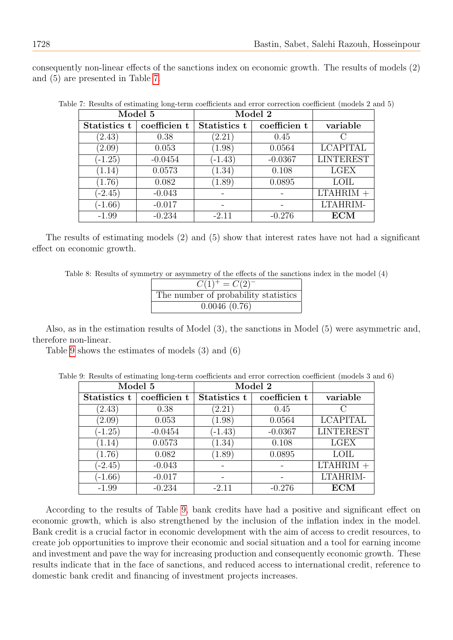consequently non-linear effects of the sanctions index on economic growth. The results of models (2)

|              | Model 5      |              | Model 2      |                  |
|--------------|--------------|--------------|--------------|------------------|
| Statistics t | coefficien t | Statistics t | coefficien t | variable         |
| (2.43)       | 0.38         | (2.21)       | 0.45         |                  |
| (2.09)       | 0.053        | (1.98)       | 0.0564       | <b>LCAPITAL</b>  |
| $(-1.25)$    | $-0.0454$    | $(-1.43)$    | $-0.0367$    | <b>LINTEREST</b> |
| (1.14)       | 0.0573       | (1.34)       | 0.108        | <b>LGEX</b>      |
| (1.76)       | 0.082        | (1.89)       | 0.0895       | <b>LOIL</b>      |
| $(-2.45)$    | $-0.043$     |              |              | $LTAHRIM +$      |
| $(-1.66)$    | $-0.017$     |              |              | LTAHRIM-         |
| $-1.99$      | $-0.234$     | $-2.11$      | $-0.276$     | ECM              |

Table 7: Results of estimating long-term coefficients and error correction coefficient (models 2 and 5)

The results of estimating models (2) and (5) show that interest rates have not had a significant effect on economic growth.

Table 8: Results of symmetry or asymmetry of the effects of the sanctions index in the model (4)

| $\overline{C(1)}^+ = C(2)^-$         |
|--------------------------------------|
| The number of probability statistics |
| 0.0046(0.76)                         |

Also, as in the estimation results of Model (3), the sanctions in Model (5) were asymmetric and, therefore non-linear.

<span id="page-9-1"></span>Table [9](#page-9-1) shows the estimates of models (3) and (6)

Table 9: Results of estimating long-term coefficients and error correction coefficient (models 3 and 6)

|              | Model 5      |              | Model 2      |                  |
|--------------|--------------|--------------|--------------|------------------|
| Statistics t | coefficien t | Statistics t | coefficien t | variable         |
| (2.43)       | 0.38         | (2.21)       | 0.45         |                  |
| (2.09)       | 0.053        | (1.98)       | 0.0564       | <b>LCAPITAL</b>  |
| $(-1.25)$    | $-0.0454$    | $(-1.43)$    | $-0.0367$    | <b>LINTEREST</b> |
| (1.14)       | 0.0573       | (1.34)       | 0.108        | <b>LGEX</b>      |
| (1.76)       | 0.082        | (1.89)       | 0.0895       | <b>LOIL</b>      |
| $(-2.45)$    | $-0.043$     |              |              | $LTAHRIM +$      |
| $(-1.66)$    | $-0.017$     |              |              | LTAHRIM-         |
| $-1.99$      | $-0.234$     | $-2.11$      | $-0.276$     | <b>ECM</b>       |

According to the results of Table [9,](#page-9-1) bank credits have had a positive and significant effect on economic growth, which is also strengthened by the inclusion of the inflation index in the model. Bank credit is a crucial factor in economic development with the aim of access to credit resources, to create job opportunities to improve their economic and social situation and a tool for earning income and investment and pave the way for increasing production and consequently economic growth. These results indicate that in the face of sanctions, and reduced access to international credit, reference to domestic bank credit and financing of investment projects increases.

<span id="page-9-0"></span>and (5) are presented in Table [7.](#page-9-0)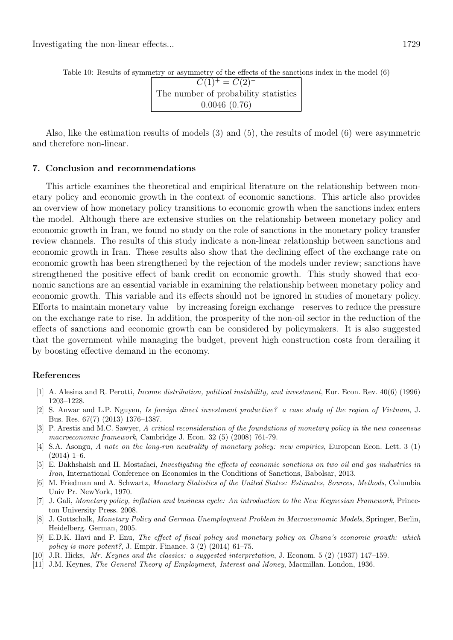| $\overline{C(1)}^+ = C(2)^-$         |
|--------------------------------------|
| The number of probability statistics |
| 0.0046(0.76)                         |

Table 10: Results of symmetry or asymmetry of the effects of the sanctions index in the model (6)

Also, like the estimation results of models (3) and (5), the results of model (6) were asymmetric and therefore non-linear.

#### 7. Conclusion and recommendations

This article examines the theoretical and empirical literature on the relationship between monetary policy and economic growth in the context of economic sanctions. This article also provides an overview of how monetary policy transitions to economic growth when the sanctions index enters the model. Although there are extensive studies on the relationship between monetary policy and economic growth in Iran, we found no study on the role of sanctions in the monetary policy transfer review channels. The results of this study indicate a non-linear relationship between sanctions and economic growth in Iran. These results also show that the declining effect of the exchange rate on economic growth has been strengthened by the rejection of the models under review; sanctions have strengthened the positive effect of bank credit on economic growth. This study showed that economic sanctions are an essential variable in examining the relationship between monetary policy and economic growth. This variable and its effects should not be ignored in studies of monetary policy. Efforts to maintain monetary value  $\overline{\ }$  by increasing foreign exchange  $\overline{\ }$  reserves to reduce the pressure on the exchange rate to rise. In addition, the prosperity of the non-oil sector in the reduction of the effects of sanctions and economic growth can be considered by policymakers. It is also suggested that the government while managing the budget, prevent high construction costs from derailing it by boosting effective demand in the economy.

#### References

- <span id="page-10-9"></span>[1] A. Alesina and R. Perotti, Income distribution, political instability, and investment, Eur. Econ. Rev. 40(6) (1996) 1203–1228.
- <span id="page-10-10"></span>[2] S. Anwar and L.P. Nguyen, Is foreign direct investment productive? a case study of the region of Vietnam, J. Bus. Res. 67(7) (2013) 1376–1387.
- <span id="page-10-3"></span>[3] P. Arestis and M.C. Sawyer, A critical reconsideration of the foundations of monetary policy in the new consensus macroeconomic framework, Cambridge J. Econ. 32 (5) (2008) 761-79.
- <span id="page-10-0"></span>[4] S.A. Asongu, A note on the long-run neutrality of monetary policy: new empirics, European Econ. Lett. 3 (1)  $(2014)$  1–6.
- <span id="page-10-6"></span>[5] E. Bakhshaish and H. Mostafaei, Investigating the effects of economic sanctions on two oil and gas industries in Iran, International Conference on Economics in the Conditions of Sanctions, Babolsar, 2013.
- <span id="page-10-7"></span>[6] M. Friedman and A. Schwartz, Monetary Statistics of the United States: Estimates, Sources, Methods, Columbia Univ Pr. NewYork, 1970.
- <span id="page-10-2"></span>[7] J. Gali, Monetary policy, inflation and business cycle: An introduction to the New Keynesian Framework, Princeton University Press. 2008.
- <span id="page-10-8"></span>[8] J. Gottschalk, Monetary Policy and German Unemployment Problem in Macroeconomic Models, Springer, Berlin, Heidelberg. German, 2005.
- <span id="page-10-1"></span>[9] E.D.K. Havi and P. Enu, The effect of fiscal policy and monetary policy on Ghana's economic growth: which policy is more potent?, J. Empir. Finance.  $3(2)(2014)$  61–75.
- <span id="page-10-5"></span>[10] J.R. Hicks, Mr. Keynes and the classics: a suggested interpretation, J. Econom. 5 (2) (1937) 147–159.
- <span id="page-10-4"></span>[11] J.M. Keynes, The General Theory of Employment, Interest and Money, Macmillan. London, 1936.